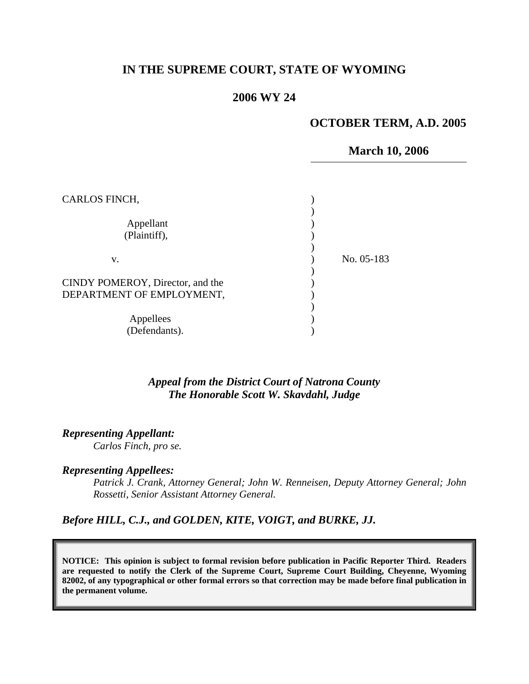# **IN THE SUPREME COURT, STATE OF WYOMING**

## **2006 WY 24**

## **OCTOBER TERM, A.D. 2005**

#### **March 10, 2006**

| CARLOS FINCH,                                                 |              |
|---------------------------------------------------------------|--------------|
| Appellant<br>(Plaintiff),                                     |              |
| v.                                                            | No. $05-183$ |
| CINDY POMEROY, Director, and the<br>DEPARTMENT OF EMPLOYMENT, |              |
| Appellees<br>(Defendants).                                    |              |

### *Appeal from the District Court of Natrona County The Honorable Scott W. Skavdahl, Judge*

*Representing Appellant:* 

*Carlos Finch, pro se.* 

#### *Representing Appellees:*

*Patrick J. Crank, Attorney General; John W. Renneisen, Deputy Attorney General; John Rossetti, Senior Assistant Attorney General.* 

*Before HILL, C.J., and GOLDEN, KITE, VOIGT, and BURKE, JJ.* 

**NOTICE: This opinion is subject to formal revision before publication in Pacific Reporter Third. Readers are requested to notify the Clerk of the Supreme Court, Supreme Court Building, Cheyenne, Wyoming 82002, of any typographical or other formal errors so that correction may be made before final publication in the permanent volume.**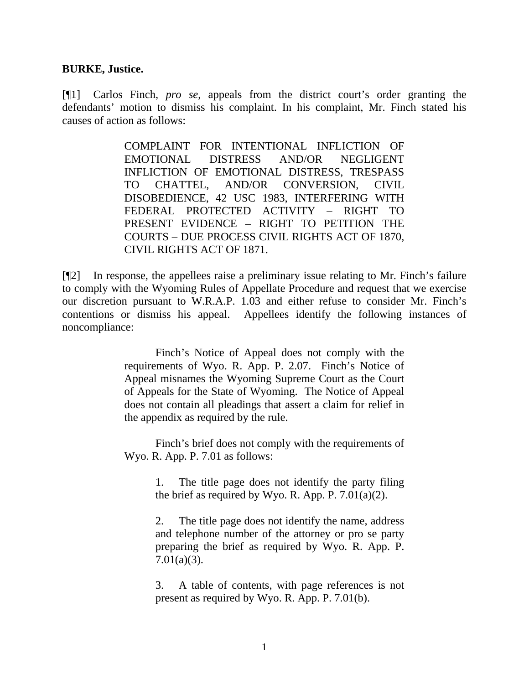#### **BURKE, Justice.**

[¶1] Carlos Finch, *pro se*, appeals from the district court's order granting the defendants' motion to dismiss his complaint. In his complaint, Mr. Finch stated his causes of action as follows:

> COMPLAINT FOR INTENTIONAL INFLICTION OF EMOTIONAL DISTRESS AND/OR NEGLIGENT INFLICTION OF EMOTIONAL DISTRESS, TRESPASS TO CHATTEL, AND/OR CONVERSION, CIVIL DISOBEDIENCE, 42 USC 1983, INTERFERING WITH FEDERAL PROTECTED ACTIVITY – RIGHT TO PRESENT EVIDENCE – RIGHT TO PETITION THE COURTS – DUE PROCESS CIVIL RIGHTS ACT OF 1870, CIVIL RIGHTS ACT OF 1871.

[¶2] In response, the appellees raise a preliminary issue relating to Mr. Finch's failure to comply with the Wyoming Rules of Appellate Procedure and request that we exercise our discretion pursuant to W.R.A.P. 1.03 and either refuse to consider Mr. Finch's contentions or dismiss his appeal. Appellees identify the following instances of noncompliance:

> Finch's Notice of Appeal does not comply with the requirements of Wyo. R. App. P. 2.07. Finch's Notice of Appeal misnames the Wyoming Supreme Court as the Court of Appeals for the State of Wyoming. The Notice of Appeal does not contain all pleadings that assert a claim for relief in the appendix as required by the rule.

> Finch's brief does not comply with the requirements of Wyo. R. App. P. 7.01 as follows:

> > 1. The title page does not identify the party filing the brief as required by Wyo. R. App. P.  $7.01(a)(2)$ .

> > 2. The title page does not identify the name, address and telephone number of the attorney or pro se party preparing the brief as required by Wyo. R. App. P. 7.01(a)(3).

> > 3. A table of contents, with page references is not present as required by Wyo. R. App. P. 7.01(b).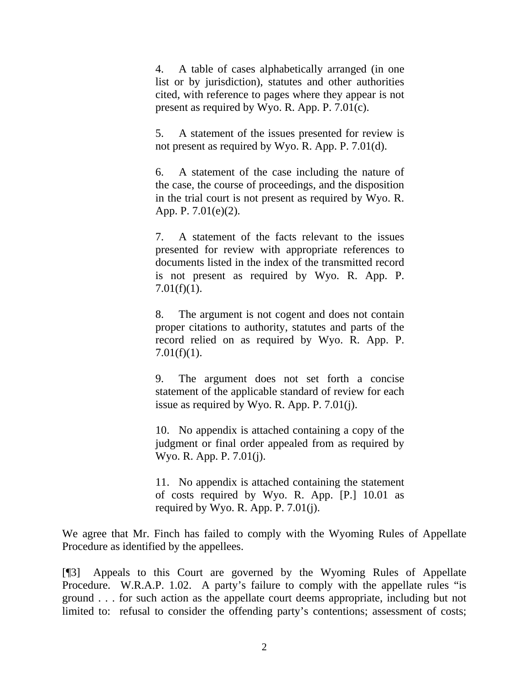4. A table of cases alphabetically arranged (in one list or by jurisdiction), statutes and other authorities cited, with reference to pages where they appear is not present as required by Wyo. R. App. P. 7.01(c).

5. A statement of the issues presented for review is not present as required by Wyo. R. App. P. 7.01(d).

6. A statement of the case including the nature of the case, the course of proceedings, and the disposition in the trial court is not present as required by Wyo. R. App. P. 7.01(e)(2).

7. A statement of the facts relevant to the issues presented for review with appropriate references to documents listed in the index of the transmitted record is not present as required by Wyo. R. App. P.  $7.01(f)(1)$ .

8. The argument is not cogent and does not contain proper citations to authority, statutes and parts of the record relied on as required by Wyo. R. App. P. 7.01(f)(1).

9. The argument does not set forth a concise statement of the applicable standard of review for each issue as required by Wyo. R. App. P. 7.01(j).

10. No appendix is attached containing a copy of the judgment or final order appealed from as required by Wyo. R. App. P. 7.01(j).

11. No appendix is attached containing the statement of costs required by Wyo. R. App. [P.] 10.01 as required by Wyo. R. App. P.  $7.01(j)$ .

We agree that Mr. Finch has failed to comply with the Wyoming Rules of Appellate Procedure as identified by the appellees.

[¶3] Appeals to this Court are governed by the Wyoming Rules of Appellate Procedure. W.R.A.P. 1.02. A party's failure to comply with the appellate rules "is ground . . . for such action as the appellate court deems appropriate, including but not limited to: refusal to consider the offending party's contentions; assessment of costs;